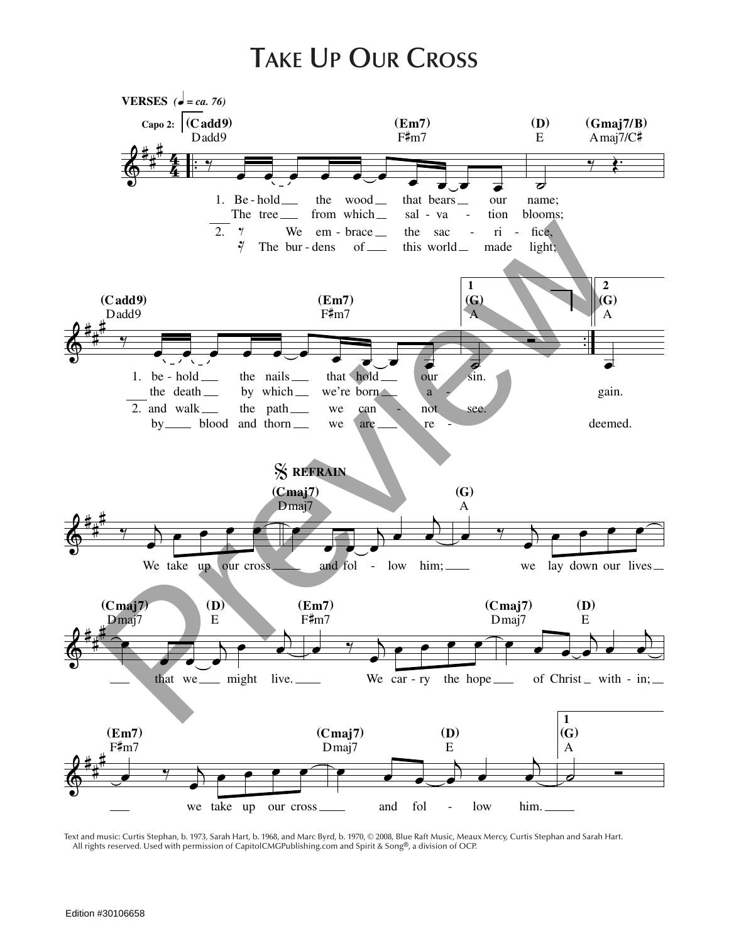## **Take Up Our Cross**



Text and music: Curtis Stephan, b. 1973, Sarah Hart, b. 1968, and Marc Byrd, b. 1970, © 2008, Blue Raft Music, Meaux Mercy, Curtis Stephan and Sarah Hart. All rights reserved. Used with permission of CapitolCMGPublishing.com and Spirit & Song®, a division of OCP.